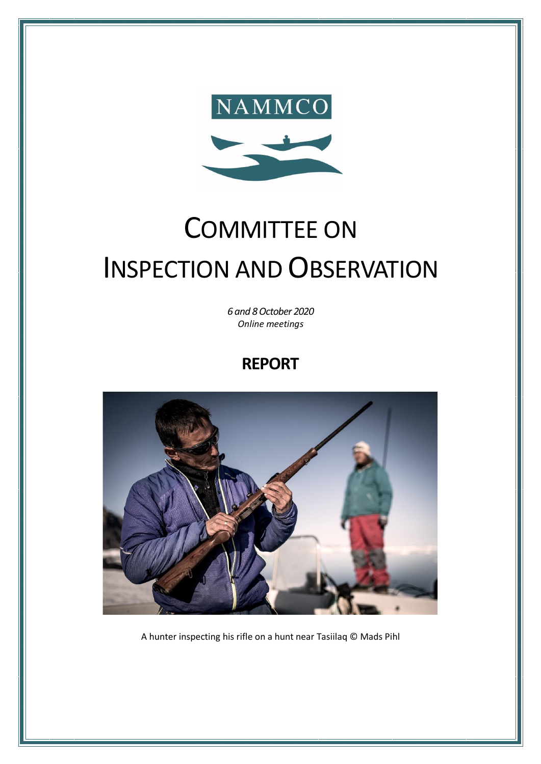

# COMMITTEE ON INSPECTION AND OBSERVATION

*6 and 8 October 2020 Online meetings*

# **REPORT**



A hunter inspecting his rifle on a hunt near Tasiilaq © Mads Pihl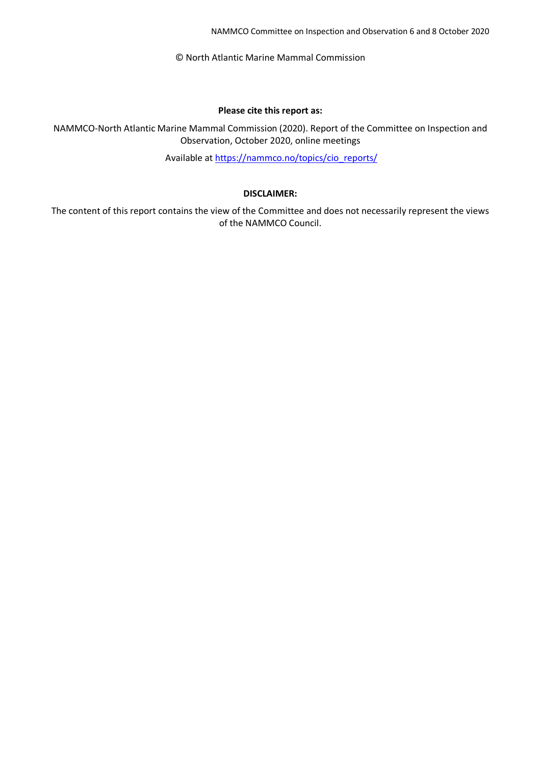NAMMCO Committee on Inspection and Observation 6 and 8 October 2020

© North Atlantic Marine Mammal Commission

#### **Please cite this report as:**

NAMMCO-North Atlantic Marine Mammal Commission (2020). Report of the Committee on Inspection and Observation, October 2020, online meetings

Available at [https://nammco.no/topics/cio\\_reports/](https://nammco.no/topics/cio_reports/)

#### **DISCLAIMER:**

The content of this report contains the view of the Committee and does not necessarily represent the views of the NAMMCO Council.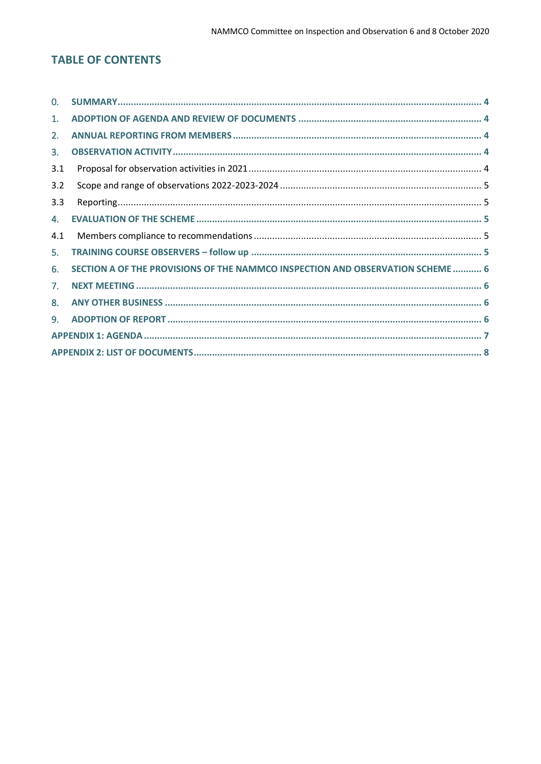# **TABLE OF CONTENTS**

| 0.           |                                                                                |  |
|--------------|--------------------------------------------------------------------------------|--|
| 1.           |                                                                                |  |
| 2.           |                                                                                |  |
| 3.           |                                                                                |  |
| 3.1          |                                                                                |  |
| 3.2          |                                                                                |  |
| 3.3          |                                                                                |  |
| 4.           |                                                                                |  |
|              |                                                                                |  |
| 4.1          |                                                                                |  |
| 5.           |                                                                                |  |
| 6.           | SECTION A OF THE PROVISIONS OF THE NAMMCO INSPECTION AND OBSERVATION SCHEME  6 |  |
| 7.           |                                                                                |  |
| 8.           |                                                                                |  |
| $\mathbf{Q}$ |                                                                                |  |
|              |                                                                                |  |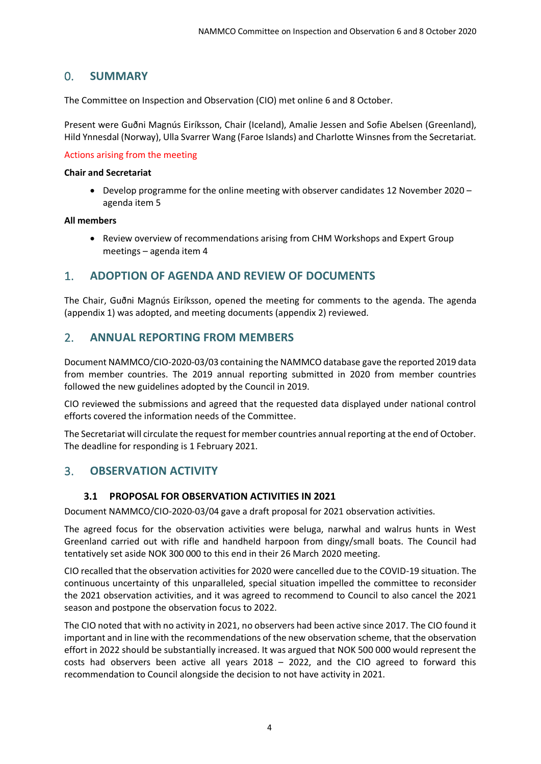# <span id="page-3-0"></span>0. **SUMMARY**

The Committee on Inspection and Observation (CIO) met online 6 and 8 October.

Present were Guðni Magnús Eiríksson, Chair (Iceland), Amalie Jessen and Sofie Abelsen (Greenland), Hild Ynnesdal (Norway), Ulla Svarrer Wang (Faroe Islands) and Charlotte Winsnes from the Secretariat.

#### Actions arising from the meeting

#### **Chair and Secretariat**

• Develop programme for the online meeting with observer candidates 12 November 2020 – agenda item 5

#### **All members**

• Review overview of recommendations arising from CHM Workshops and Expert Group meetings – agenda item 4

#### <span id="page-3-1"></span>1. **ADOPTION OF AGENDA AND REVIEW OF DOCUMENTS**

The Chair, Guðni Magnús Eiríksson, opened the meeting for comments to the agenda. The agenda (appendix 1) was adopted, and meeting documents (appendix 2) reviewed.

# <span id="page-3-2"></span>2. **ANNUAL REPORTING FROM MEMBERS**

Document NAMMCO/CIO-2020-03/03 containing the NAMMCO database gave the reported 2019 data from member countries. The 2019 annual reporting submitted in 2020 from member countries followed the new guidelines adopted by the Council in 2019.

CIO reviewed the submissions and agreed that the requested data displayed under national control efforts covered the information needs of the Committee.

The Secretariat will circulate the request for member countries annual reporting at the end of October. The deadline for responding is 1 February 2021.

# <span id="page-3-3"></span>3. **OBSERVATION ACTIVITY**

#### **3.1 PROPOSAL FOR OBSERVATION ACTIVITIES IN 2021**

<span id="page-3-4"></span>Document NAMMCO/CIO-2020-03/04 gave a draft proposal for 2021 observation activities.

The agreed focus for the observation activities were beluga, narwhal and walrus hunts in West Greenland carried out with rifle and handheld harpoon from dingy/small boats. The Council had tentatively set aside NOK 300 000 to this end in their 26 March 2020 meeting.

CIO recalled that the observation activities for 2020 were cancelled due to the COVID-19 situation. The continuous uncertainty of this unparalleled, special situation impelled the committee to reconsider the 2021 observation activities, and it was agreed to recommend to Council to also cancel the 2021 season and postpone the observation focus to 2022.

The CIO noted that with no activity in 2021, no observers had been active since 2017. The CIO found it important and in line with the recommendations of the new observation scheme, that the observation effort in 2022 should be substantially increased. It was argued that NOK 500 000 would represent the costs had observers been active all years 2018 – 2022, and the CIO agreed to forward this recommendation to Council alongside the decision to not have activity in 2021.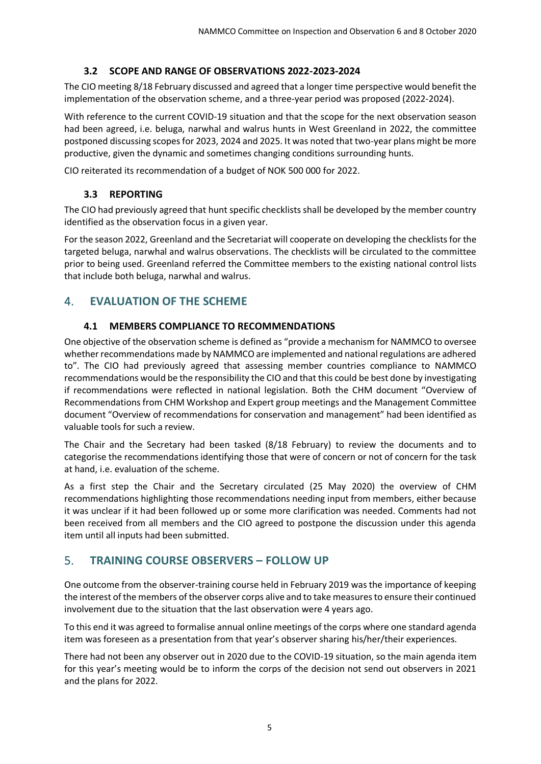#### **3.2 SCOPE AND RANGE OF OBSERVATIONS 2022-2023-2024**

<span id="page-4-0"></span>The CIO meeting 8/18 February discussed and agreed that a longer time perspective would benefit the implementation of the observation scheme, and a three-year period was proposed (2022-2024).

With reference to the current COVID-19 situation and that the scope for the next observation season had been agreed, i.e. beluga, narwhal and walrus hunts in West Greenland in 2022, the committee postponed discussing scopes for 2023, 2024 and 2025. It was noted that two-year plans might be more productive, given the dynamic and sometimes changing conditions surrounding hunts.

<span id="page-4-1"></span>CIO reiterated its recommendation of a budget of NOK 500 000 for 2022.

#### **3.3 REPORTING**

The CIO had previously agreed that hunt specific checklists shall be developed by the member country identified as the observation focus in a given year.

For the season 2022, Greenland and the Secretariat will cooperate on developing the checklists for the targeted beluga, narwhal and walrus observations. The checklists will be circulated to the committee prior to being used. Greenland referred the Committee members to the existing national control lists that include both beluga, narwhal and walrus.

# <span id="page-4-2"></span>4. **EVALUATION OF THE SCHEME**

#### **4.1 MEMBERS COMPLIANCE TO RECOMMENDATIONS**

<span id="page-4-3"></span>One objective of the observation scheme is defined as "provide a mechanism for NAMMCO to oversee whether recommendations made by NAMMCO are implemented and national regulations are adhered to". The CIO had previously agreed that assessing member countries compliance to NAMMCO recommendations would be the responsibility the CIO and that this could be best done by investigating if recommendations were reflected in national legislation. Both the CHM document "Overview of Recommendations from CHM Workshop and Expert group meetings and the Management Committee document "Overview of recommendations for conservation and management" had been identified as valuable tools for such a review.

The Chair and the Secretary had been tasked (8/18 February) to review the documents and to categorise the recommendations identifying those that were of concern or not of concern for the task at hand, i.e. evaluation of the scheme.

As a first step the Chair and the Secretary circulated (25 May 2020) the overview of CHM recommendations highlighting those recommendations needing input from members, either because it was unclear if it had been followed up or some more clarification was needed. Comments had not been received from all members and the CIO agreed to postpone the discussion under this agenda item until all inputs had been submitted.

# <span id="page-4-4"></span>5. **TRAINING COURSE OBSERVERS – FOLLOW UP**

One outcome from the observer-training course held in February 2019 was the importance of keeping the interest of the members of the observer corps alive and to take measures to ensure their continued involvement due to the situation that the last observation were 4 years ago.

To this end it was agreed to formalise annual online meetings of the corps where one standard agenda item was foreseen as a presentation from that year's observer sharing his/her/their experiences.

There had not been any observer out in 2020 due to the COVID-19 situation, so the main agenda item for this year's meeting would be to inform the corps of the decision not send out observers in 2021 and the plans for 2022.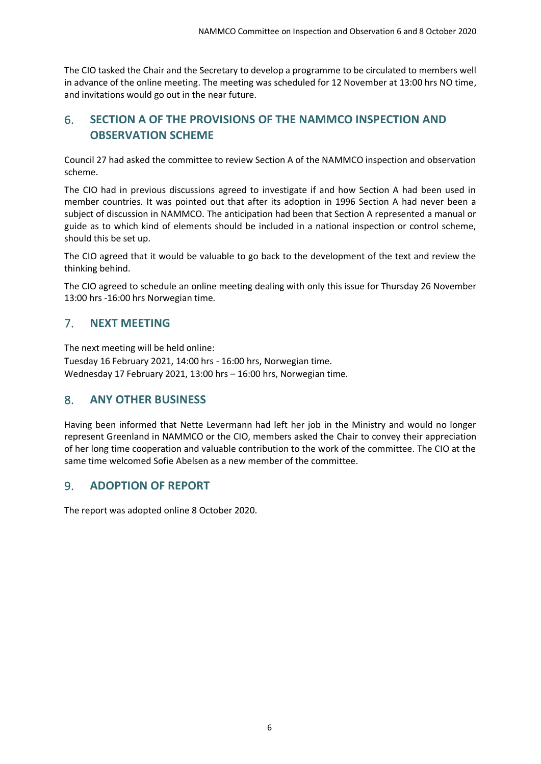The CIO tasked the Chair and the Secretary to develop a programme to be circulated to members well in advance of the online meeting. The meeting was scheduled for 12 November at 13:00 hrs NO time, and invitations would go out in the near future.

# <span id="page-5-0"></span>6. **SECTION A OF THE PROVISIONS OF THE NAMMCO INSPECTION AND OBSERVATION SCHEME**

Council 27 had asked the committee to review Section A of the NAMMCO inspection and observation scheme.

The CIO had in previous discussions agreed to investigate if and how Section A had been used in member countries. It was pointed out that after its adoption in 1996 Section A had never been a subject of discussion in NAMMCO. The anticipation had been that Section A represented a manual or guide as to which kind of elements should be included in a national inspection or control scheme, should this be set up.

The CIO agreed that it would be valuable to go back to the development of the text and review the thinking behind.

The CIO agreed to schedule an online meeting dealing with only this issue for Thursday 26 November 13:00 hrs -16:00 hrs Norwegian time.

# <span id="page-5-1"></span>7. **NEXT MEETING**

The next meeting will be held online: Tuesday 16 February 2021, 14:00 hrs - 16:00 hrs, Norwegian time. Wednesday 17 February 2021, 13:00 hrs – 16:00 hrs, Norwegian time.

# <span id="page-5-2"></span>8. **ANY OTHER BUSINESS**

Having been informed that Nette Levermann had left her job in the Ministry and would no longer represent Greenland in NAMMCO or the CIO, members asked the Chair to convey their appreciation of her long time cooperation and valuable contribution to the work of the committee. The CIO at the same time welcomed Sofie Abelsen as a new member of the committee.

# <span id="page-5-3"></span>9. **ADOPTION OF REPORT**

The report was adopted online 8 October 2020.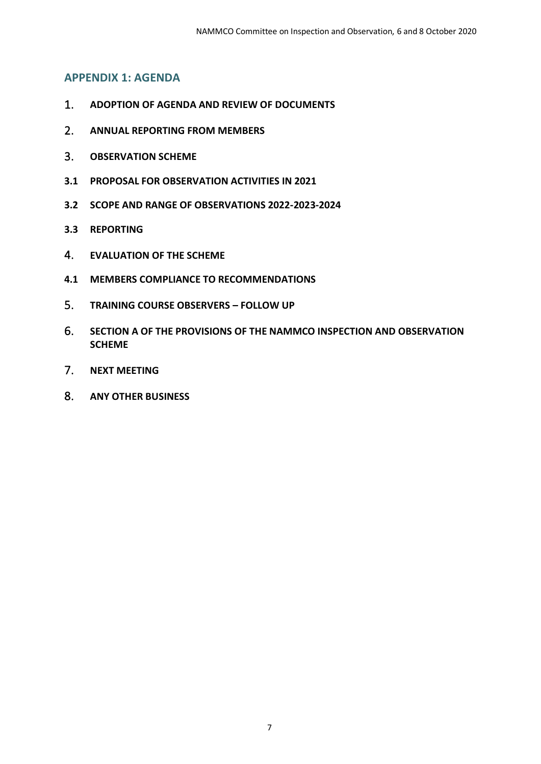#### <span id="page-6-0"></span>**APPENDIX 1: AGENDA**

- 1. **ADOPTION OF AGENDA AND REVIEW OF DOCUMENTS**
- 2. **ANNUAL REPORTING FROM MEMBERS**
- 3. **OBSERVATION SCHEME**
- **3.1 PROPOSAL FOR OBSERVATION ACTIVITIES IN 2021**
- **3.2 SCOPE AND RANGE OF OBSERVATIONS 2022-2023-2024**
- **3.3 REPORTING**
- 4. **EVALUATION OF THE SCHEME**
- **4.1 MEMBERS COMPLIANCE TO RECOMMENDATIONS**
- 5. **TRAINING COURSE OBSERVERS – FOLLOW UP**
- 6. **SECTION A OF THE PROVISIONS OF THE NAMMCO INSPECTION AND OBSERVATION SCHEME**
- 7. **NEXT MEETING**
- 8. **ANY OTHER BUSINESS**